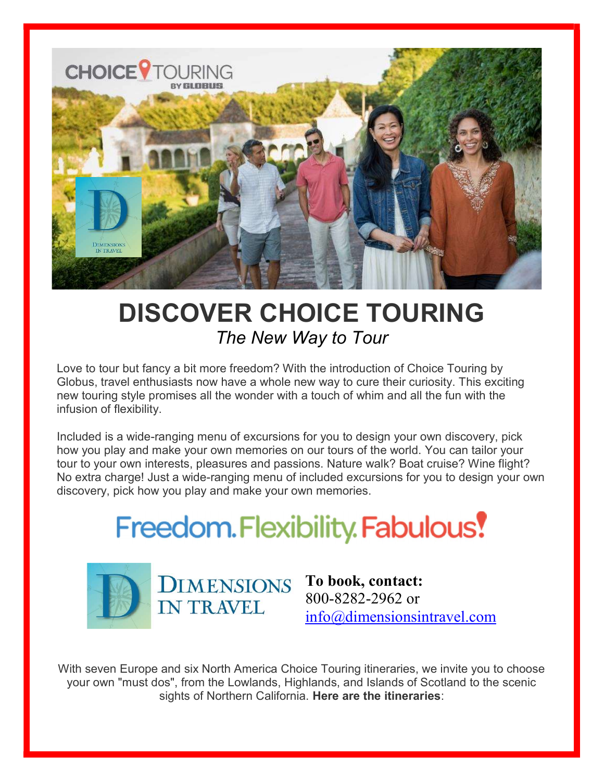

## DISCOVER CHOICE TOURING The New Way to Tour

Love to tour but fancy a bit more freedom? With the introduction of Choice Touring by Globus, travel enthusiasts now have a whole new way to cure their curiosity. This exciting new touring style promises all the wonder with a touch of whim and all the fun with the infusion of flexibility.

Included is a wide-ranging menu of excursions for you to design your own discovery, pick how you play and make your own memories on our tours of the world. You can tailor your tour to your own interests, pleasures and passions. Nature walk? Boat cruise? Wine flight? No extra charge! Just a wide-ranging menu of included excursions for you to design your own discovery, pick how you play and make your own memories.

## **Freedom.Flexibility.Fabulous!**



To book, contact: 800-8282-2962 or info@dimensionsintravel.com

With seven Europe and six North America Choice Touring itineraries, we invite you to choose your own "must dos", from the Lowlands, Highlands, and Islands of Scotland to the scenic sights of Northern California. Here are the itineraries: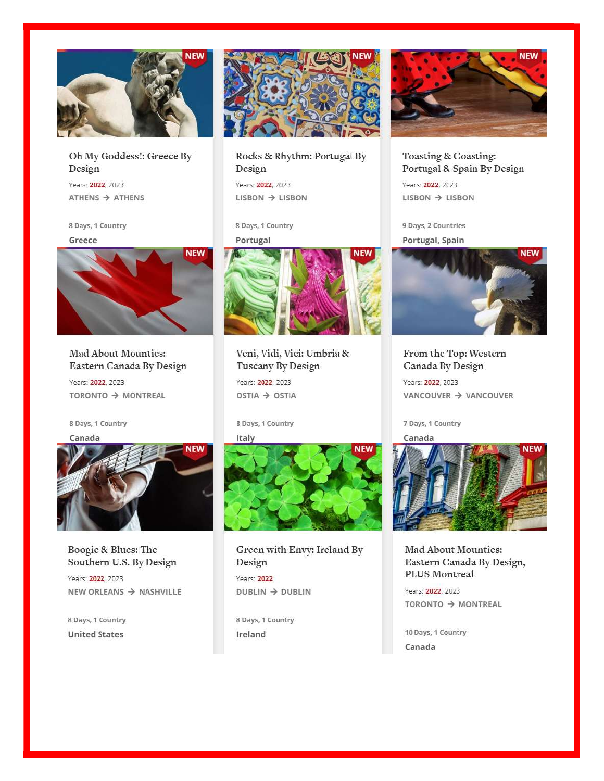

## Oh My Goddess!: Greece By Design

Years: 2022, 2023  $ATHENS$   $\rightarrow$   $ATHENS$ 

8 Days, 1 Country Greece



Mad About Mounties: Eastern Canada By Design

Years: 2022, 2023 TORONTO → MONTREAL

8 Days, 1 Country





Boogie & Blues: The Southern U.S. By Design

Years: 2022, 2023 NEW ORLEANS → NASHVILLE

8 Days, 1 Country **United States** 



Rocks & Rhythm: Portugal By Design

Years: 2022, 2023  $LISBN \rightarrow LISBN$ 

8 Days, 1 Country

Portugal



Veni, Vidi, Vici: Umbria & Tuscany By Design

Years: 2022, 2023 OSTIA → OSTIA

8 Days, 1 Country

Italy



Green with Envy: Ireland By Design Years: 2022  $DUBLIN \rightarrow DUBLIN$ 

8 Days, 1 Country Ireland



Toasting & Coasting: Portugal & Spain By Design

Years: 2022, 2023  $LISBN \rightarrow LISBN$ 

9 Days, 2 Countries Portugal, Spain



From the Top: Western Canada By Design

Years: 2022, 2023 VANCOUVER → VANCOUVER

7 Days, 1 Country



Mad About Mounties: Eastern Canada By Design, PLUS Montreal

Years: 2022, 2023 TORONTO → MONTREAL

10 Days, 1 Country Canada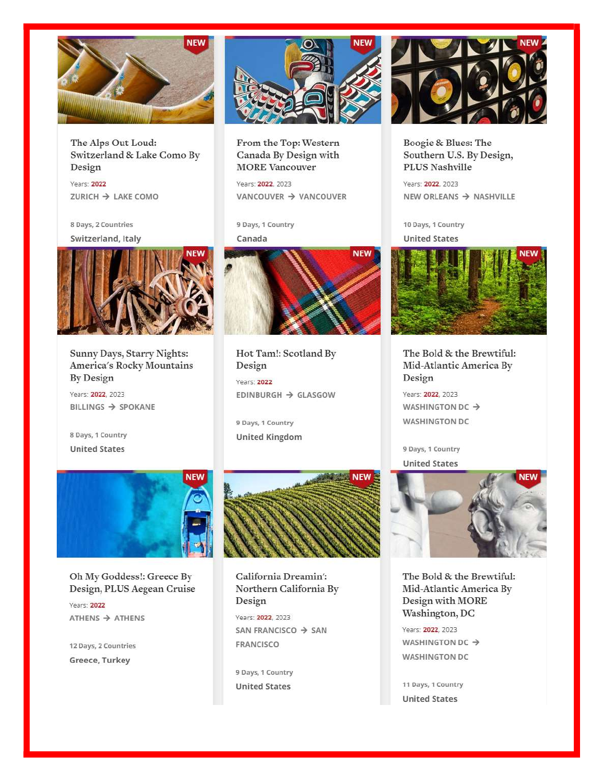

The Alps Out Loud: Switzerland & Lake Como By Design

Years: 2022 ZURICH → LAKE COMO

8 Days, 2 Countries Switzerland, Italy



Sunny Days, Starry Nights: America's Rocky Mountains By Design

Years: 2022, 2023 BILLINGS  $\Rightarrow$  SPOKANE

8 Days, 1 Country **United States** 



From the Top: Western Canada By Design with **MORE** Vancouver

Years: 2022, 2023 VANCOUVER → VANCOUVER

9 Days, 1 Country

Canada



Hot Tam!: Scotland By Design

Years: 2022 EDINBURGH → GLASGOW

9 Days, 1 Country **United Kingdom** 



Boogie & Blues: The Southern U.S. By Design, PLUS Nashville

Years: 2022, 2023 NEW ORLEANS → NASHVILLE

10 Days, 1 Country

**United States** 



The Bold & the Brewtiful: Mid-Atlantic America By Design

Years: 2022, 2023 WASHINGTON DC → **WASHINGTON DC** 

9 Days, 1 Country **United States** 



The Bold & the Brewtiful: Mid-Atlantic America By Design with MORE Washington, DC

Years: 2022, 2023 **WASHINGTON DC → WASHINGTON DC** 

11 Days, 1 Country **United States** 



Oh My Goddess!: Greece By Design, PLUS Aegean Cruise

Years: 2022  $ATHENS$   $\rightarrow$   $ATHENS$ 

12 Days, 2 Countries Greece, Turkey



California Dreamin': Northern California By Design

Years: 2022, 2023 SAN FRANCISCO → SAN FRANCISCO

9 Days, 1 Country **United States**